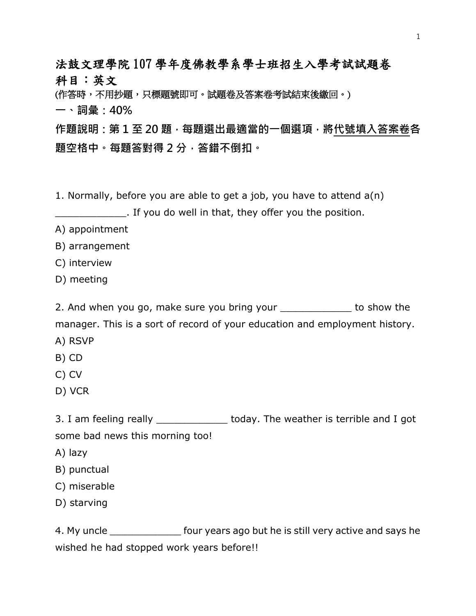法鼓文理學院 107 學年度佛教學系學士班招生入學考試試題卷 科目:英文

(作答時,不用抄題,只標題號即可。試題卷及答案卷考試結束後繳回。)

一、詞彙:40%

作題說明 : 第 1 至 20 題,每題選出最適當的一個選項,將代號填入答案卷各 題空格中。每題答對得 2 分,答錯不倒扣。

1. Normally, before you are able to get a job, you have to attend a(n)

**Example 2.1 If you do well in that, they offer you the position.** 

A) appointment

B) arrangement

C) interview

D) meeting

2. And when you go, make sure you bring your \_\_\_\_\_\_\_\_\_\_\_\_ to show the manager. This is a sort of record of your education and employment history.

A) RSVP

B) CD

C) CV

D) VCR

3. I am feeling really \_\_\_\_\_\_\_\_\_\_\_\_\_\_ today. The weather is terrible and I got some bad news this morning too!

A) lazy

B) punctual

C) miserable

D) starving

4. My uncle **Example 3 and September 1.** four years ago but he is still very active and says he wished he had stopped work years before!!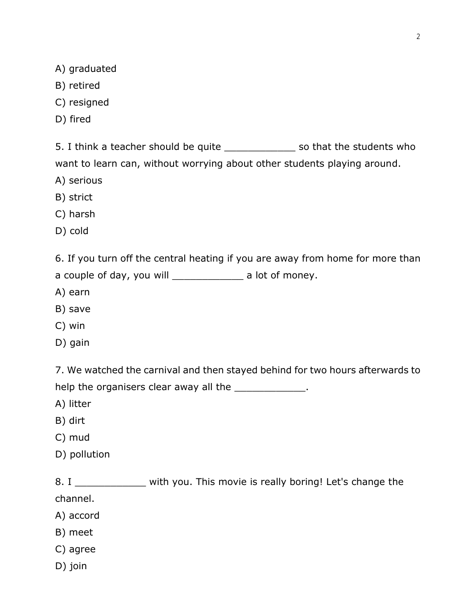A) graduated

- B) retired
- C) resigned
- D) fired

5. I think a teacher should be quite Think is so that the students who want to learn can, without worrying about other students playing around.

- A) serious
- B) strict
- C) harsh
- D) cold

6. If you turn off the central heating if you are away from home for more than

a couple of day, you will \_\_\_\_\_\_\_\_\_\_\_\_\_\_ a lot of money.

- A) earn
- B) save
- C) win
- D) gain

7. We watched the carnival and then stayed behind for two hours afterwards to help the organisers clear away all the \_\_\_\_\_\_\_\_\_\_\_\_\_\_.

A) litter

- B) dirt
- C) mud
- D) pollution

8. I \_\_\_\_\_\_\_\_\_\_\_\_\_\_ with you. This movie is really boring! Let's change the channel.

- A) accord
- B) meet
- C) agree
- D) join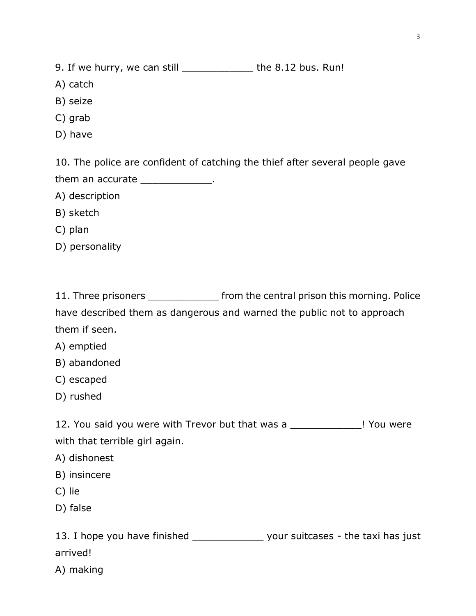9. If we hurry, we can still \_\_\_\_\_\_\_\_\_\_\_\_\_ the 8.12 bus. Run!

- A) catch
- B) seize
- C) grab
- D) have

10. The police are confident of catching the thief after several people gave

them an accurate \_\_\_\_\_\_\_\_\_\_\_\_\_.

- A) description
- B) sketch
- C) plan
- D) personality

|  | 11. Three prisoners |  |  |  | from the central prison this morning. Police |
|--|---------------------|--|--|--|----------------------------------------------|
|--|---------------------|--|--|--|----------------------------------------------|

have described them as dangerous and warned the public not to approach them if seen.

- A) emptied
- B) abandoned
- C) escaped
- D) rushed

12. You said you were with Trevor but that was a \_\_\_\_\_\_\_\_\_\_\_\_\_\_! You were with that terrible girl again.

- A) dishonest
- B) insincere
- C) lie
- D) false

13. I hope you have finished \_\_\_\_\_\_\_\_\_\_\_\_\_\_\_\_ your suitcases - the taxi has just arrived!

A) making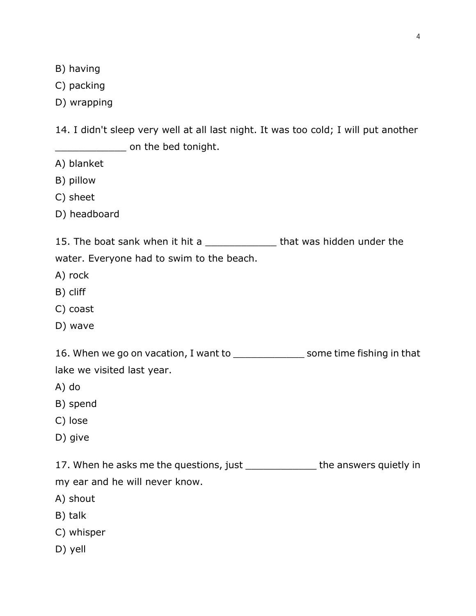B) having

C) packing

D) wrapping

14. I didn't sleep very well at all last night. It was too cold; I will put another  $\blacksquare$  on the bed tonight.

- A) blanket
- B) pillow
- C) sheet
- D) headboard

15. The boat sank when it hit a \_\_\_\_\_\_\_\_\_\_\_\_\_\_\_ that was hidden under the water. Everyone had to swim to the beach.

- A) rock
- B) cliff
- C) coast
- D) wave

16. When we go on vacation, I want to \_\_\_\_\_\_\_\_\_\_\_\_\_\_\_\_ some time fishing in that lake we visited last year.

- A) do
- B) spend
- C) lose
- D) give

17. When he asks me the questions, just \_\_\_\_\_\_\_\_\_\_\_\_\_\_ the answers quietly in

my ear and he will never know.

- A) shout
- B) talk
- C) whisper
- D) yell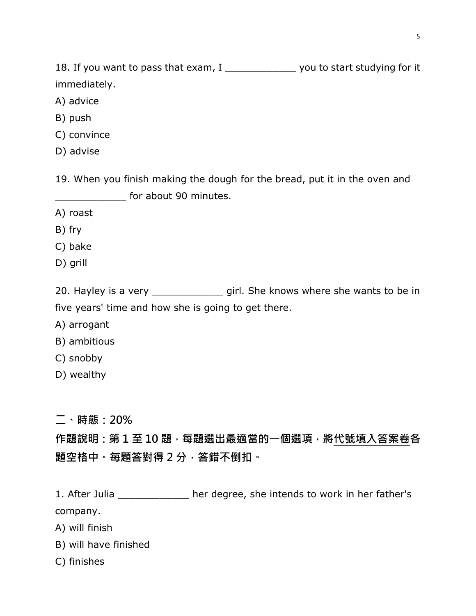18. If you want to pass that exam, I \_\_\_\_\_\_\_\_\_\_\_\_\_\_\_ you to start studying for it immediately.

- A) advice
- B) push
- C) convince
- D) advise

19. When you finish making the dough for the bread, put it in the oven and for about 90 minutes.

- A) roast
- B) fry
- C) bake
- D) grill

20. Hayley is a very \_\_\_\_\_\_\_\_\_\_\_\_\_\_ girl. She knows where she wants to be in five years' time and how she is going to get there.

- A) arrogant
- B) ambitious
- C) snobby
- D) wealthy

二、時態:20%

# 作題說明:第 1 至 10 題, 每題選出最適當的一個選項, 將代號填入答案卷各 題空格中。每題答對得 2 分,答錯不倒扣。

1. After Julia \_\_\_\_\_\_\_\_\_\_\_\_\_ her degree, she intends to work in her father's company.

- A) will finish
- B) will have finished
- C) finishes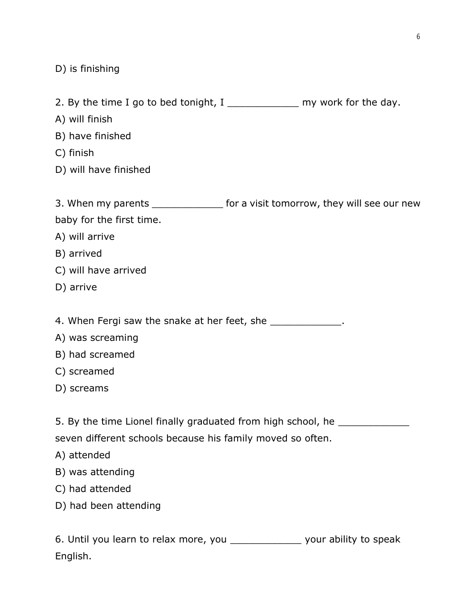D) is finishing

2. By the time I go to bed tonight,  $I$  \_\_\_\_\_\_\_\_\_\_\_\_\_\_\_ my work for the day.

- A) will finish
- B) have finished
- C) finish
- D) will have finished

|                                                                            | 3. When my parents ________________ for a visit tomorrow, they will see our new |  |  |  |  |  |
|----------------------------------------------------------------------------|---------------------------------------------------------------------------------|--|--|--|--|--|
| baby for the first time.                                                   |                                                                                 |  |  |  |  |  |
| A) will arrive                                                             |                                                                                 |  |  |  |  |  |
| B) arrived                                                                 |                                                                                 |  |  |  |  |  |
| C) will have arrived                                                       |                                                                                 |  |  |  |  |  |
| D) arrive                                                                  |                                                                                 |  |  |  |  |  |
|                                                                            |                                                                                 |  |  |  |  |  |
| 4. When Fergi saw the snake at her feet, she ______________.               |                                                                                 |  |  |  |  |  |
| A) was screaming                                                           |                                                                                 |  |  |  |  |  |
| B) had screamed                                                            |                                                                                 |  |  |  |  |  |
| C) screamed                                                                |                                                                                 |  |  |  |  |  |
| D) screams                                                                 |                                                                                 |  |  |  |  |  |
|                                                                            |                                                                                 |  |  |  |  |  |
| 5. By the time Lionel finally graduated from high school, he _____________ |                                                                                 |  |  |  |  |  |
| seven different schools because his family moved so often.                 |                                                                                 |  |  |  |  |  |
| A) attended                                                                |                                                                                 |  |  |  |  |  |
| B) was attending                                                           |                                                                                 |  |  |  |  |  |
| C) had attended                                                            |                                                                                 |  |  |  |  |  |
| D) had been attending                                                      |                                                                                 |  |  |  |  |  |
|                                                                            |                                                                                 |  |  |  |  |  |
|                                                                            | 6. Until you learn to relax more, you _______________ your ability to speak     |  |  |  |  |  |
| English.                                                                   |                                                                                 |  |  |  |  |  |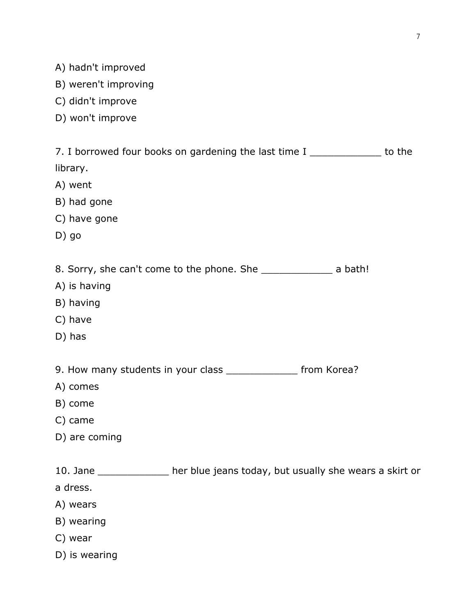- A) hadn't improved
- B) weren't improving
- C) didn't improve
- D) won't improve

| 7. I borrowed four books on gardening the last time I _____________ to the     |  |
|--------------------------------------------------------------------------------|--|
| library.                                                                       |  |
| A) went                                                                        |  |
| B) had gone                                                                    |  |
| C) have gone                                                                   |  |
| $D)$ go                                                                        |  |
| 8. Sorry, she can't come to the phone. She _______________________ a bath!     |  |
| A) is having                                                                   |  |
| B) having                                                                      |  |
| C) have                                                                        |  |
| D) has                                                                         |  |
| 9. How many students in your class ________________ from Korea?                |  |
| A) comes                                                                       |  |
| B) come                                                                        |  |
| C) came                                                                        |  |
| D) are coming                                                                  |  |
| 10. Jane ______________ her blue jeans today, but usually she wears a skirt or |  |
| a dress.                                                                       |  |
| A) wears                                                                       |  |
| B) wearing                                                                     |  |
| C) wear                                                                        |  |
| D) is wearing                                                                  |  |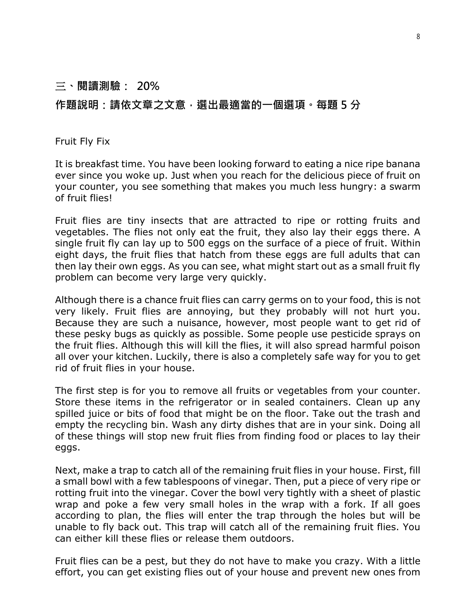### 三、閱讀測驗: 20%

### 作題說明:請依文章之文意,選出最適當的一個選項。每題 5 分

#### Fruit Fly Fix

It is breakfast time. You have been looking forward to eating a nice ripe banana ever since you woke up. Just when you reach for the delicious piece of fruit on your counter, you see something that makes you much less hungry: a swarm of fruit flies!

Fruit flies are tiny insects that are attracted to ripe or rotting fruits and vegetables. The flies not only eat the fruit, they also lay their eggs there. A single fruit fly can lay up to 500 eggs on the surface of a piece of fruit. Within eight days, the fruit flies that hatch from these eggs are full adults that can then lay their own eggs. As you can see, what might start out as a small fruit fly problem can become very large very quickly.

Although there is a chance fruit flies can carry germs on to your food, this is not very likely. Fruit flies are annoying, but they probably will not hurt you. Because they are such a nuisance, however, most people want to get rid of these pesky bugs as quickly as possible. Some people use pesticide sprays on the fruit flies. Although this will kill the flies, it will also spread harmful poison all over your kitchen. Luckily, there is also a completely safe way for you to get rid of fruit flies in your house.

The first step is for you to remove all fruits or vegetables from your counter. Store these items in the refrigerator or in sealed containers. Clean up any spilled juice or bits of food that might be on the floor. Take out the trash and empty the recycling bin. Wash any dirty dishes that are in your sink. Doing all of these things will stop new fruit flies from finding food or places to lay their eggs.

Next, make a trap to catch all of the remaining fruit flies in your house. First, fill a small bowl with a few tablespoons of vinegar. Then, put a piece of very ripe or rotting fruit into the vinegar. Cover the bowl very tightly with a sheet of plastic wrap and poke a few very small holes in the wrap with a fork. If all goes according to plan, the flies will enter the trap through the holes but will be unable to fly back out. This trap will catch all of the remaining fruit flies. You can either kill these flies or release them outdoors.

Fruit flies can be a pest, but they do not have to make you crazy. With a little effort, you can get existing flies out of your house and prevent new ones from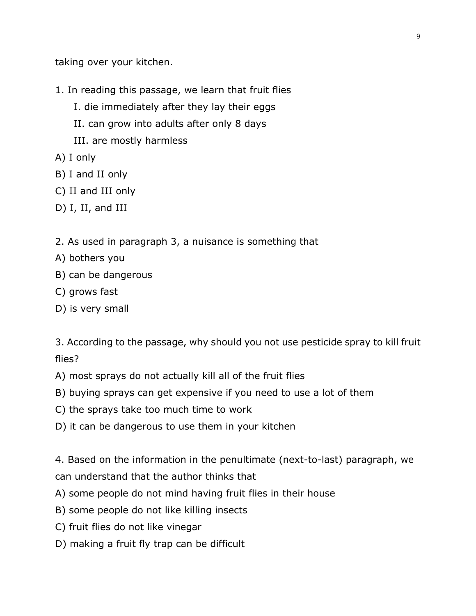taking over your kitchen.

- 1. In reading this passage, we learn that fruit flies
	- I. die immediately after they lay their eggs
	- II. can grow into adults after only 8 days
	- III. are mostly harmless
- A) I only
- B) I and II only
- C) II and III only
- D) I, II, and III
- 2. As used in paragraph 3, a nuisance is something that
- A) bothers you
- B) can be dangerous
- C) grows fast
- D) is very small

3. According to the passage, why should you not use pesticide spray to kill fruit flies?

- A) most sprays do not actually kill all of the fruit flies
- B) buying sprays can get expensive if you need to use a lot of them
- C) the sprays take too much time to work
- D) it can be dangerous to use them in your kitchen

4. Based on the information in the penultimate (next-to-last) paragraph, we can understand that the author thinks that

- A) some people do not mind having fruit flies in their house
- B) some people do not like killing insects
- C) fruit flies do not like vinegar
- D) making a fruit fly trap can be difficult